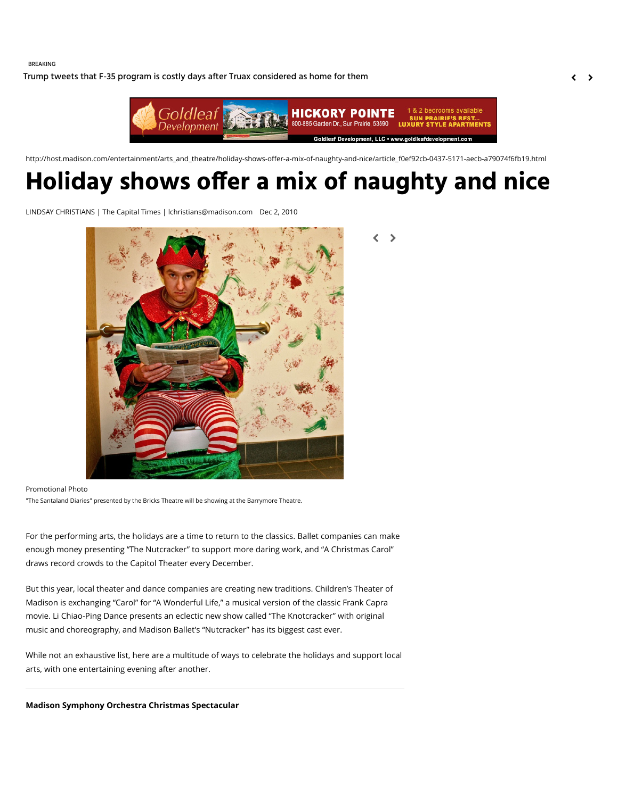BREAKING

[Trump tweets that F-35 program is costly days after Truax considered as home for them](http://host.madison.com/wsj/news/local/trump-tweets-that-f--program-is-costly-days-after/article_39a784b0-0e56-50d1-986d-c4819bfe2f41.html)  $\left\langle \right\rangle$ 



< >

http://host.madison.com/entertainment/arts\_and\_theatre/holiday-shows-offer-a-mix-of-naughty-and-nice/article\_f0ef92cb-0437-5171-aecb-a79074f6fb19.html

# **Holiday shows o!er a mix of naughty and nice**

LINDSAY CHRISTIANS | The Capital Times | lchristians@madison.com Dec 2, 2010



Promotional Photo "The Santaland Diaries" presented by the Bricks Theatre will be showing at the Barrymore Theatre.

For the performing arts, the holidays are a time to return to the classics. Ballet companies can make enough money presenting "The Nutcracker" to support more daring work, and "A Christmas Carol" draws record crowds to the Capitol Theater every December.

But this year, local theater and dance companies are creating new traditions. Children's Theater of Madison is exchanging "Carol" for "A Wonderful Life," a musical version of the classic Frank Capra movie. Li Chiao-Ping Dance presents an eclectic new show called "The Knotcracker" with original music and choreography, and Madison Ballet's "Nutcracker" has its biggest cast ever.

While not an exhaustive list, here are a multitude of ways to celebrate the holidays and support local arts, with one entertaining evening after another.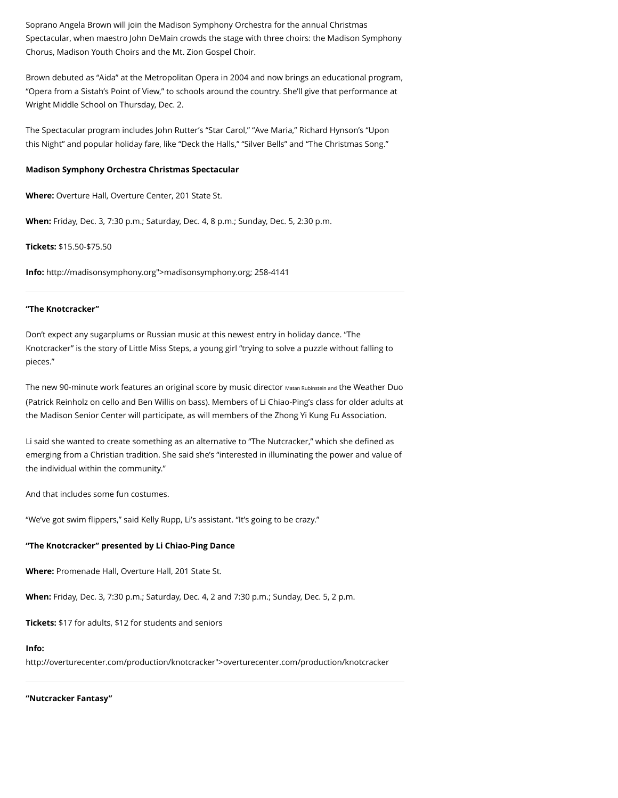Soprano Angela Brown will join the Madison Symphony Orchestra for the annual Christmas Spectacular, when maestro John DeMain crowds the stage with three choirs: the Madison Symphony Chorus, Madison Youth Choirs and the Mt. Zion Gospel Choir.

Brown debuted as "Aida" at the Metropolitan Opera in 2004 and now brings an educational program, "Opera from a Sistah's Point of View," to schools around the country. She'll give that performance at Wright Middle School on Thursday, Dec. 2.

The Spectacular program includes John Rutter's "Star Carol," "Ave Maria," Richard Hynson's "Upon this Night" and popular holiday fare, like "Deck the Halls," "Silver Bells" and "The Christmas Song."

#### **Madison Symphony Orchestra Christmas Spectacular**

**Where:** Overture Hall, Overture Center, 201 State St.

**When:** Friday, Dec. 3, 7:30 p.m.; Saturday, Dec. 4, 8 p.m.; Sunday, Dec. 5, 2:30 p.m.

**Tickets:** \$15.50-\$75.50

**Info:** [http://madisonsymphony.org"](http://host.madison.com/content/tncms/live/%3Ca%20href=)>madisonsymphony.org; 258-4141

# **"The Knotcracker"**

Don't expect any sugarplums or Russian music at this newest entry in holiday dance. "The Knotcracker" is the story of Little Miss Steps, a young girl "trying to solve a puzzle without falling to pieces."

The new 90-minute work features an original score by music director Matan Rubinstein and the Weather Duo (Patrick Reinholz on cello and Ben Willis on bass). Members of Li Chiao-Ping's class for older adults at the Madison Senior Center will participate, as will members of the Zhong Yi Kung Fu Association.

Li said she wanted to create something as an alternative to "The Nutcracker," which she defined as emerging from a Christian tradition. She said she's "interested in illuminating the power and value of the individual within the community."

And that includes some fun costumes.

"We've got swim flippers," said Kelly Rupp, Li's assistant. "It's going to be crazy."

#### **"The Knotcracker" presented by Li Chiao-Ping Dance**

**Where:** Promenade Hall, Overture Hall, 201 State St.

**When:** Friday, Dec. 3, 7:30 p.m.; Saturday, Dec. 4, 2 and 7:30 p.m.; Sunday, Dec. 5, 2 p.m.

**Tickets:** \$17 for adults, \$12 for students and seniors

# **Info:**

[http://overturecenter.com/production/knotcracker"](http://host.madison.com/content/tncms/live/%3Ca%20href=)>overturecenter.com/production/knotcracker

**"Nutcracker Fantasy"**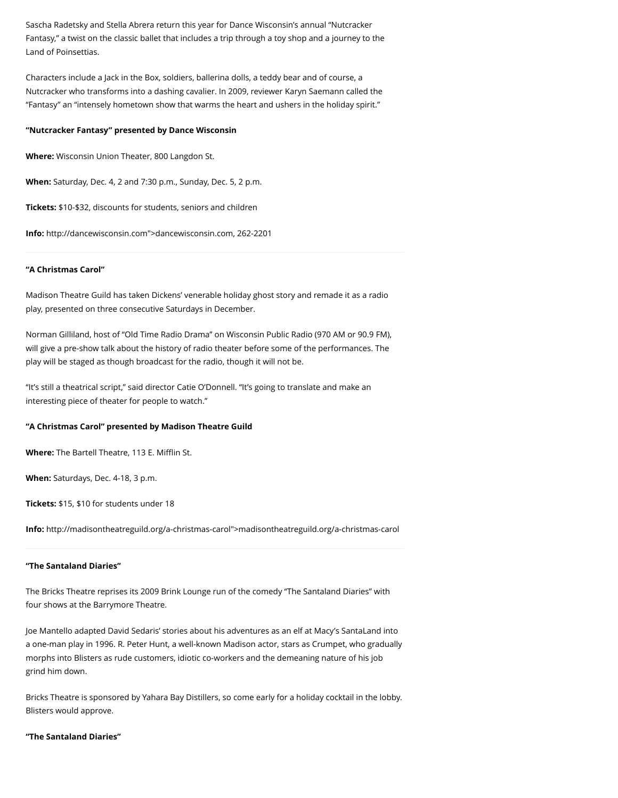Sascha Radetsky and Stella Abrera return this year for Dance Wisconsin's annual "Nutcracker Fantasy," a twist on the classic ballet that includes a trip through a toy shop and a journey to the Land of Poinsettias.

Characters include a Jack in the Box, soldiers, ballerina dolls, a teddy bear and of course, a Nutcracker who transforms into a dashing cavalier. In 2009, reviewer Karyn Saemann called the "Fantasy" an "intensely hometown show that warms the heart and ushers in the holiday spirit."

#### **"Nutcracker Fantasy" presented by Dance Wisconsin**

**Where:** Wisconsin Union Theater, 800 Langdon St.

**When:** Saturday, Dec. 4, 2 and 7:30 p.m., Sunday, Dec. 5, 2 p.m.

**Tickets:** \$10-\$32, discounts for students, seniors and children

**Info:** [http://dancewisconsin.com](http://host.madison.com/content/tncms/live/%3Ca%20href=)">dancewisconsin.com, 262-2201

#### **"A Christmas Carol"**

Madison Theatre Guild has taken Dickens' venerable holiday ghost story and remade it as a radio play, presented on three consecutive Saturdays in December.

Norman Gilliland, host of "Old Time Radio Drama" on Wisconsin Public Radio (970 AM or 90.9 FM), will give a pre-show talk about the history of radio theater before some of the performances. The play will be staged as though broadcast for the radio, though it will not be.

"It's still a theatrical script," said director Catie O'Donnell. "It's going to translate and make an interesting piece of theater for people to watch."

#### **"A Christmas Carol" presented by Madison Theatre Guild**

**Where:** The Bartell Theatre, 113 E. Mifflin St.

**When:** Saturdays, Dec. 4-18, 3 p.m.

**Tickets:** \$15, \$10 for students under 18

**Info:** [http://madisontheatreguild.org/a-christmas-carol"](http://host.madison.com/content/tncms/live/%3Ca%20href=)>madisontheatreguild.org/a-christmas-carol

#### **"The Santaland Diaries"**

The Bricks Theatre reprises its 2009 Brink Lounge run of the comedy "The Santaland Diaries" with four shows at the Barrymore Theatre.

Joe Mantello adapted David Sedaris' stories about his adventures as an elf at Macy's SantaLand into a one-man play in 1996. R. Peter Hunt, a well-known Madison actor, stars as Crumpet, who gradually morphs into Blisters as rude customers, idiotic co-workers and the demeaning nature of his job grind him down.

Bricks Theatre is sponsored by Yahara Bay Distillers, so come early for a holiday cocktail in the lobby. Blisters would approve.

#### **"The Santaland Diaries"**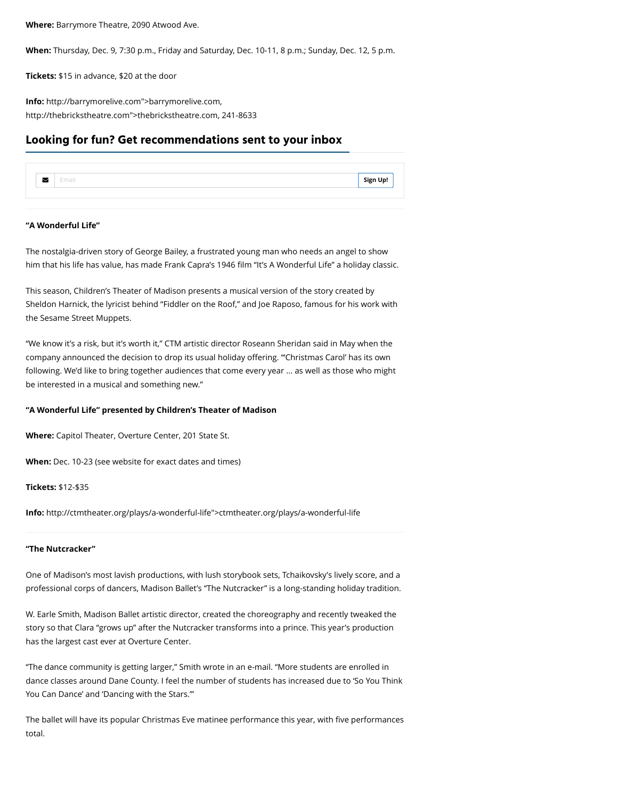**Where:** Barrymore Theatre, 2090 Atwood Ave.

**When:** Thursday, Dec. 9, 7:30 p.m., Friday and Saturday, Dec. 10-11, 8 p.m.; Sunday, Dec. 12, 5 p.m.

**Tickets:** \$15 in advance, \$20 at the door

**Info:** [http://barrymorelive.com"](http://host.madison.com/content/tncms/live/%3Ca%20href=)>barrymorelive.com, [http://thebrickstheatre.com"](http://host.madison.com/content/tncms/live/%3Ca%20href=)>thebrickstheatre.com, 241-8633

# **Looking for fun? Get recommendations sent to your inbox**

|  | --- | Sion |
|--|-----|------|
|  |     |      |

# **"A Wonderful Life"**

The nostalgia-driven story of George Bailey, a frustrated young man who needs an angel to show him that his life has value, has made Frank Capra's 1946 film "It's A Wonderful Life" a holiday classic.

This season, Children's Theater of Madison presents a musical version of the story created by Sheldon Harnick, the lyricist behind "Fiddler on the Roof," and Joe Raposo, famous for his work with the Sesame Street Muppets.

"We know it's a risk, but it's worth it," CTM artistic director Roseann Sheridan said in May when the company announced the decision to drop its usual holiday offering. "'Christmas Carol' has its own following. We'd like to bring together audiences that come every year ... as well as those who might be interested in a musical and something new."

## **"A Wonderful Life" presented by Children's Theater of Madison**

**Where:** Capitol Theater, Overture Center, 201 State St.

**When:** Dec. 10-23 (see website for exact dates and times)

**Tickets:** \$12-\$35

**Info:** [http://ctmtheater.org/plays/a-wonderful-life"](http://host.madison.com/content/tncms/live/%3Ca%20href=)>ctmtheater.org/plays/a-wonderful-life

# **"The Nutcracker"**

One of Madison's most lavish productions, with lush storybook sets, Tchaikovsky's lively score, and a professional corps of dancers, Madison Ballet's "The Nutcracker" is a long-standing holiday tradition.

W. Earle Smith, Madison Ballet artistic director, created the choreography and recently tweaked the story so that Clara "grows up" after the Nutcracker transforms into a prince. This year's production has the largest cast ever at Overture Center.

"The dance community is getting larger," Smith wrote in an e-mail. "More students are enrolled in dance classes around Dane County. I feel the number of students has increased due to 'So You Think You Can Dance' and 'Dancing with the Stars.'"

The ballet will have its popular Christmas Eve matinee performance this year, with five performances total.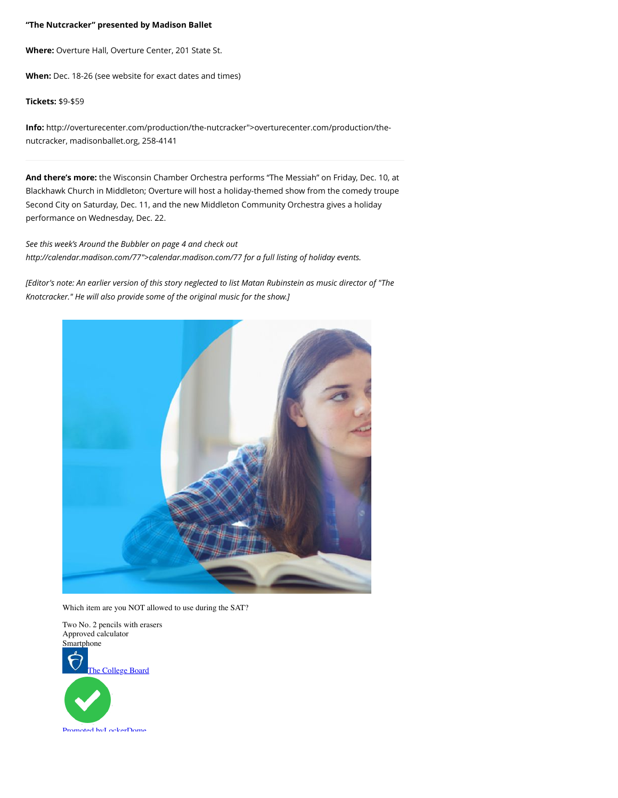# **"The Nutcracker" presented by Madison Ballet**

**Where:** Overture Hall, Overture Center, 201 State St.

**When:** Dec. 18-26 (see website for exact dates and times)

# **Tickets:** \$9-\$59

**Info:** [http://overturecenter.com/production/the-nutcracker](http://host.madison.com/content/tncms/live/%3Ca%20href=)">overturecenter.com/production/thenutcracker, [madisonballet.org,](http://madisonballet.org/) 258-4141

**And there's more:** the Wisconsin Chamber Orchestra performs "The Messiah" on Friday, Dec. 10, at Blackhawk Church in Middleton; Overture will host a holiday-themed show from the comedy troupe Second City on Saturday, Dec. 11, and the new Middleton Community Orchestra gives a holiday performance on Wednesday, Dec. 22.

*See this week's Around the Bubbler on page 4 and check out [http://calendar.madison.com/77"](http://host.madison.com/content/tncms/live/%3Ca%20href=)>calendar.madison.com/77 for a full listing of holiday events.*

*[Editor's note: An earlier version of this story neglected to list Matan Rubinstein as music director of "The Knotcracker." He will also provide some of the original music for the show.]*



Which item are you NOT allowed to use during the SAT?